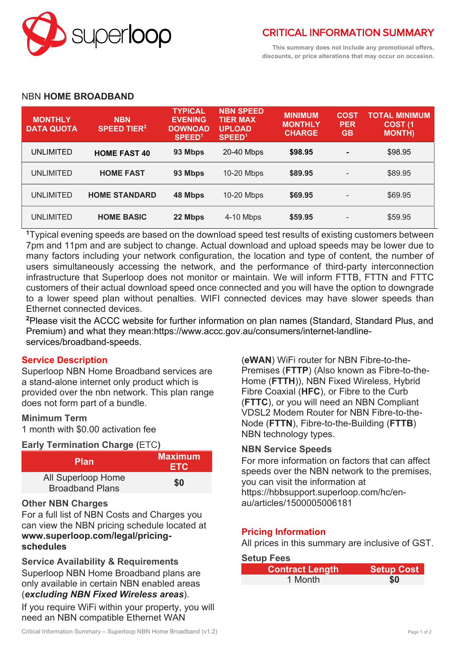

**This summary does not include any promotional offers, discounts, or price alterations that may occur on occasion.**

#### NBN **HOME BROADBAND**

| <b>MONTHLY</b><br><b>DATA QUOTA</b> | <b>NBN</b><br><b>SPEED TIER<sup>2</sup></b> | <b>TYPICAL</b><br><b>EVENING</b><br><b>DOWNOAD</b><br>SPEED <sup>1</sup> | <b>NBN SPEED</b><br><b>TIER MAX</b><br><b>UPLOAD</b><br>SPEED <sup>1</sup> | <b>MINIMUM</b><br><b>MONTHLY</b><br><b>CHARGE</b> | <b>COST</b><br><b>PER</b><br><b>GB</b> | TOTAL MINIMUM<br><b>COST (1)</b><br><b>MONTH)</b> |
|-------------------------------------|---------------------------------------------|--------------------------------------------------------------------------|----------------------------------------------------------------------------|---------------------------------------------------|----------------------------------------|---------------------------------------------------|
| UNLIMITED                           | <b>HOME FAST 40</b>                         | 93 Mbps                                                                  | 20-40 Mbps                                                                 | \$98.95                                           | $\blacksquare$                         | \$98.95                                           |
| <b>UNLIMITED</b>                    | <b>HOME FAST</b>                            | 93 Mbps                                                                  | 10-20 Mbps                                                                 | \$89.95                                           | $\overline{\phantom{a}}$               | \$89.95                                           |
| <b>UNLIMITED</b>                    | <b>HOME STANDARD</b>                        | 48 Mbps                                                                  | 10-20 Mbps                                                                 | \$69.95                                           | $\overline{\phantom{a}}$               | \$69.95                                           |
| <b>UNLIMITED</b>                    | <b>HOME BASIC</b>                           | 22 Mbps                                                                  | 4-10 Mbps                                                                  | \$59.95                                           | $\overline{\phantom{a}}$               | \$59.95                                           |

**<sup>1</sup>**Typical evening speeds are based on the download speed test results of existing customers between 7pm and 11pm and are subject to change. Actual download and upload speeds may be lower due to many factors including your network configuration, the location and type of content, the number of users simultaneously accessing the network, and the performance of third-party interconnection infrastructure that Superloop does not monitor or maintain. We will inform FTTB, FTTN and FTTC customers of their actual download speed once connected and you will have the option to downgrade to a lower speed plan without penalties. WIFI connected devices may have slower speeds than Ethernet connected devices.

**<sup>2</sup>**Please visit the ACCC website for further information on plan names (Standard, Standard Plus, and Premium) and what they mean:https://www.accc.gov.au/consumers/internet-landlineservices/broadband-speeds.

## **Service Description**

Superloop NBN Home Broadband services are a stand-alone internet only product which is provided over the nbn network. This plan range does not form part of a bundle.

#### **Minimum Term**

1 month with \$0.00 activation fee

#### **Early Termination Charge (**ETC**)**

| <b>Plan</b>                                  | <b>Maximum</b><br><b>ETC</b> |  |  |
|----------------------------------------------|------------------------------|--|--|
| All Superloop Home<br><b>Broadband Plans</b> | \$0                          |  |  |

#### **Other NBN Charges**

For a full list of NBN Costs and Charges you can view the NBN pricing schedule located at **www.superloop.com/legal/pricingschedules**

**Service Availability & Requirements** Superloop NBN Home Broadband plans are only available in certain NBN enabled areas (*excluding NBN Fixed Wireless areas*).

If you require WiFi within your property, you will need an NBN compatible Ethernet WAN

(**eWAN**) WiFi router for NBN Fibre-to-the-Premises (**FTTP**) (Also known as Fibre-to-the-Home (**FTTH**)), NBN Fixed Wireless, Hybrid Fibre Coaxial (**HFC**), or Fibre to the Curb (**FTTC**), or you will need an NBN Compliant VDSL2 Modem Router for NBN Fibre-to-the-Node (**FTTN**), Fibre-to-the-Building (**FTTB**) NBN technology types.

## **NBN Service Speeds**

For more information on factors that can affect speeds over the NBN network to the premises, you can visit the information at https://hbbsupport.superloop.com/hc/enau/articles/1500005006181

## **Pricing Information**

All prices in this summary are inclusive of GST.

#### **Setup Fees**

| <b>Contract Length</b> | <b>Setup Cost</b> |
|------------------------|-------------------|
| 1 Month                | \$0               |